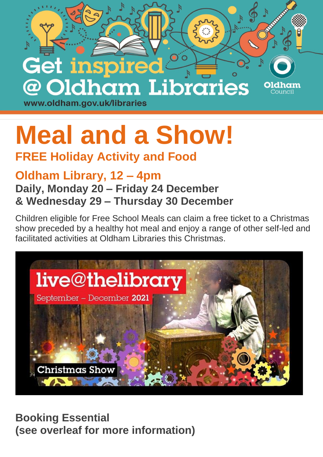

## **Meal and a Show!**

## **FREE Holiday Activity and Food**

## **Oldham Library, 12 – 4pm Daily, Monday 20 – Friday 24 December & Wednesday 29 – Thursday 30 December**

Children eligible for Free School Meals can claim a free ticket to a Christmas show preceded by a healthy hot meal and enjoy a range of other self-led and facilitated activities at Oldham Libraries this Christmas.



**Booking Essential (see overleaf for more information)**